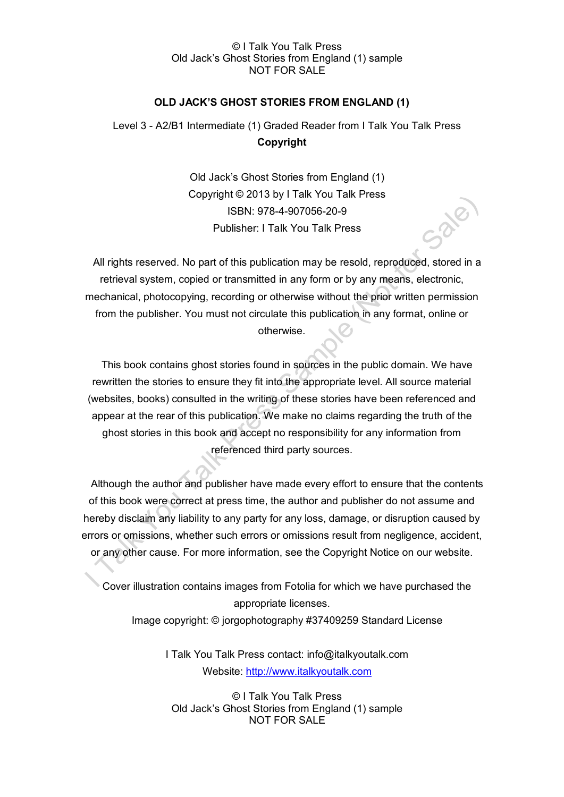### © I Talk You Talk Press Old Jack's Ghost Stories from England (1) sample NOT FOR SALE

### **OLD JACK'S GHOST STORIES FROM ENGLAND (1)**

# Level 3 - A2/B1 Intermediate (1) Graded Reader from I Talk You Talk Press **Copyright**

Old Jack's Ghost Stories from England (1) Copyright © 2013 by I Talk You Talk Press ISBN: 978-4-907056-20-9 Publisher: I Talk You Talk Press

All rights reserved. No part of this publication may be resold, reproduced, stored in a retrieval system, copied or transmitted in any form or by any means, electronic, mechanical, photocopying, recording or otherwise without the prior written permission from the publisher. You must not circulate this publication in any format, online or otherwise.

This book contains ghost stories found in sources in the public domain. We have rewritten the stories to ensure they fit into the appropriate level. All source material (websites, books) consulted in the writing of these stories have been referenced and appear at the rear of this publication. We make no claims regarding the truth of the ghost stories in this book and accept no responsibility for any information from referenced third party sources.

Although the author and publisher have made every effort to ensure that the contents of this book were correct at press time, the author and publisher do not assume and hereby disclaim any liability to any party for any loss, damage, or disruption caused by errors or omissions, whether such errors or omissions result from negligence, accident, or any other cause. For more information, see the Copyright Notice on our website.

Cover illustration contains images from Fotolia for which we have purchased the appropriate licenses.

Image copyright: © jorgophotography #37409259 Standard License

I Talk You Talk Press contact: info@italkyoutalk.com Website: [http://www.italkyoutalk.com](http://www.italkyoutalk.com/)

© I Talk You Talk Press Old Jack's Ghost Stories from England (1) sample NOT FOR SALE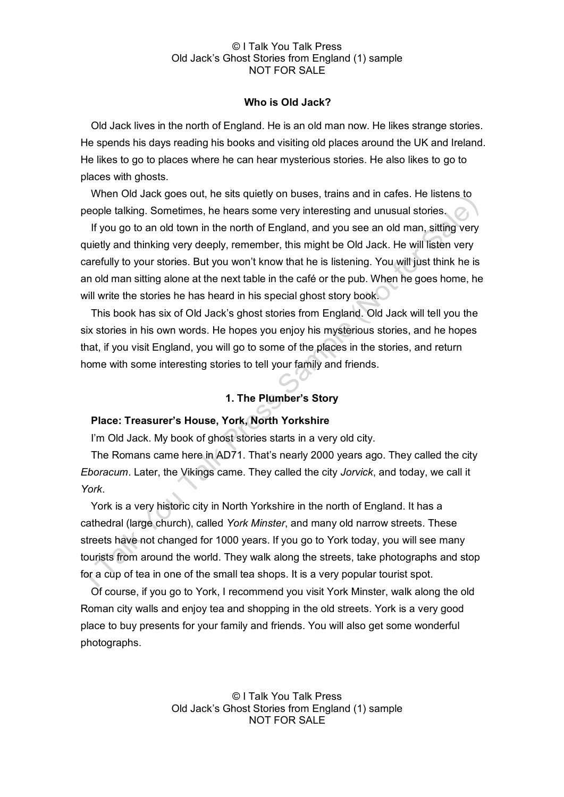#### © I Talk You Talk Press Old Jack's Ghost Stories from England (1) sample NOT FOR SALE

## **Who is Old Jack?**

Old Jack lives in the north of England. He is an old man now. He likes strange stories. He spends his days reading his books and visiting old places around the UK and Ireland. He likes to go to places where he can hear mysterious stories. He also likes to go to places with ghosts.

When Old Jack goes out, he sits quietly on buses, trains and in cafes. He listens to people talking. Sometimes, he hears some very interesting and unusual stories.

If you go to an old town in the north of England, and you see an old man, sitting very quietly and thinking very deeply, remember, this might be Old Jack. He will listen very carefully to your stories. But you won't know that he is listening. You will just think he is an old man sitting alone at the next table in the café or the pub. When he goes home, he will write the stories he has heard in his special ghost story book.

This book has six of Old Jack's ghost stories from England. Old Jack will tell you the six stories in his own words. He hopes you enjoy his mysterious stories, and he hopes that, if you visit England, you will go to some of the places in the stories, and return home with some interesting stories to tell your family and friends.

# **1. The Plumber's Story**

# **Place: Treasurer's House, York, North Yorkshire**

I'm Old Jack. My book of ghost stories starts in a very old city.

The Romans came here in AD71. That's nearly 2000 years ago. They called the city *Eboracum*. Later, the Vikings came. They called the city *Jorvick*, and today, we call it *York*.

York is a very historic city in North Yorkshire in the north of England. It has a cathedral (large church), called *York Minster*, and many old narrow streets. These streets have not changed for 1000 years. If you go to York today, you will see many tourists from around the world. They walk along the streets, take photographs and stop for a cup of tea in one of the small tea shops. It is a very popular tourist spot.

Of course, if you go to York, I recommend you visit York Minster, walk along the old Roman city walls and enjoy tea and shopping in the old streets. York is a very good place to buy presents for your family and friends. You will also get some wonderful photographs.

> © I Talk You Talk Press Old Jack's Ghost Stories from England (1) sample NOT FOR SALE